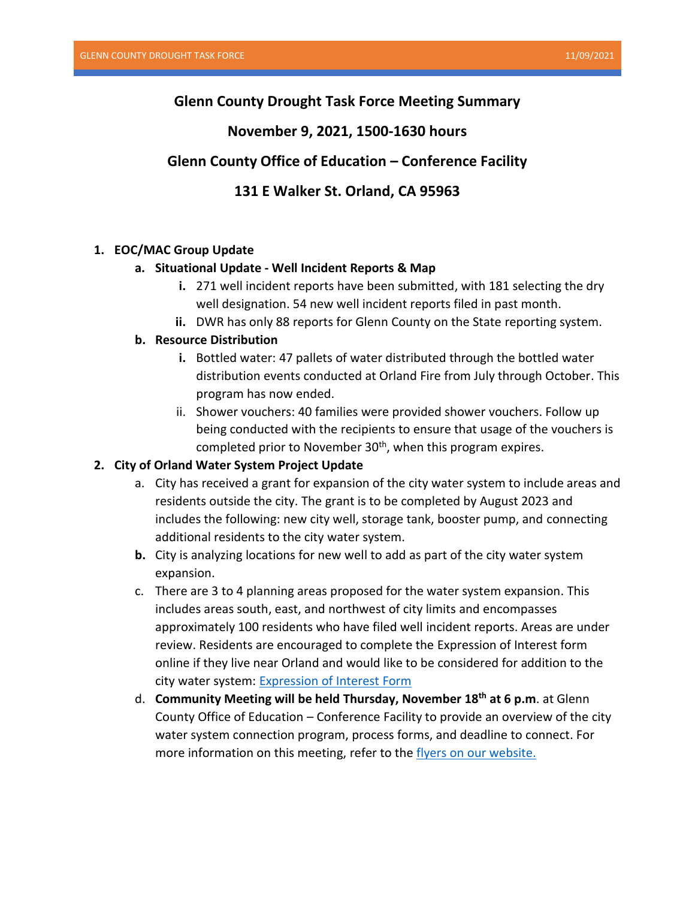# **Glenn County Drought Task Force Meeting Summary**

## **November 9, 2021, 1500-1630 hours**

# **Glenn County Office of Education – Conference Facility**

# **131 E Walker St. Orland, CA 95963**

## **1. EOC/MAC Group Update**

#### **a. Situational Update - Well Incident Reports & Map**

- **i.** 271 well incident reports have been submitted, with 181 selecting the dry well designation. 54 new well incident reports filed in past month.
- **ii.** DWR has only 88 reports for Glenn County on the State reporting system.

## **b. Resource Distribution**

- **i.** Bottled water: 47 pallets of water distributed through the bottled water distribution events conducted at Orland Fire from July through October. This program has now ended.
- ii. Shower vouchers: 40 families were provided shower vouchers. Follow up being conducted with the recipients to ensure that usage of the vouchers is completed prior to November  $30<sup>th</sup>$ , when this program expires.

## **2. City of Orland Water System Project Update**

- a. City has received a grant for expansion of the city water system to include areas and residents outside the city. The grant is to be completed by August 2023 and includes the following: new city well, storage tank, booster pump, and connecting additional residents to the city water system.
- **b.** City is analyzing locations for new well to add as part of the city water system expansion.
- c. There are 3 to 4 planning areas proposed for the water system expansion. This includes areas south, east, and northwest of city limits and encompasses approximately 100 residents who have filed well incident reports. Areas are under review. Residents are encouraged to complete the Expression of Interest form online if they live near Orland and would like to be considered for addition to the city water system: [Expression of Interest](https://forms.office.com/Pages/ResponsePage.aspx?id=tLm4xI910UKrfXq7srhj-S6mS9e_uT5PrqTJWgiqx3ZURVZaMUc4RDlPR1ROOFdOTVhITE9HUkxFSS4u&embed=true&wdLOR=cA57FC0D4-4CA7-43CB-B1FD-DB326ABB7071) Form
- d. **Community Meeting will be held Thursday, November 18th at 6 p.m**. at Glenn County Office of Education – Conference Facility to provide an overview of the city water system connection program, process forms, and deadline to connect. For more information on this meeting, refer to the [flyers on our website.](https://www.countyofglenn.net/dept/sheriff/office-emergency-services/drought/drought-assistance-programs)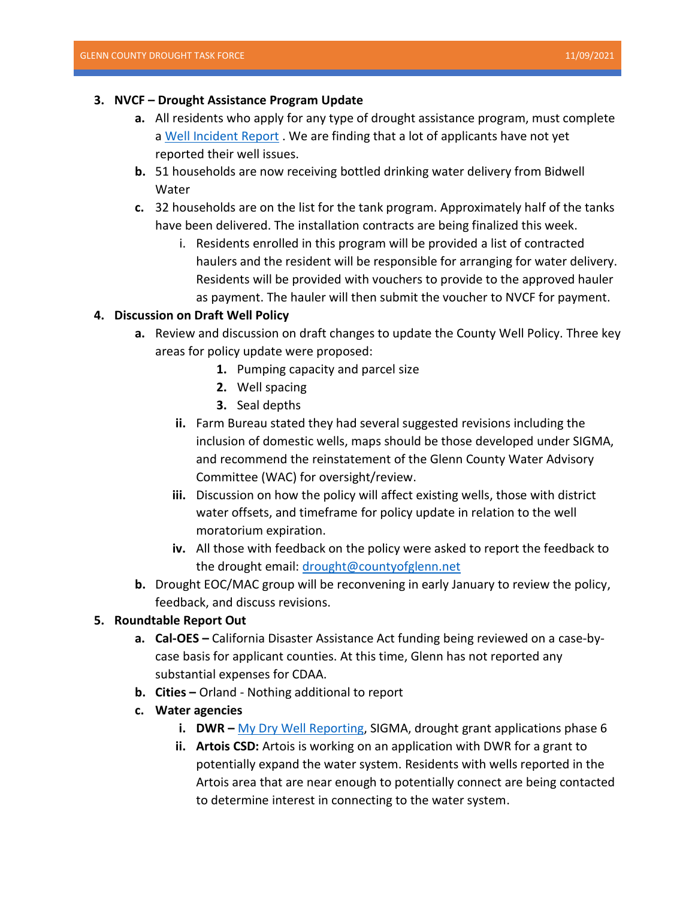#### **3. NVCF – Drought Assistance Program Update**

- **a.** All residents who apply for any type of drought assistance program, must complete a [Well Incident Report](https://survey123.arcgis.com/share/5b5c9cfac11e43eaa42fde18b1c04771). We are finding that a lot of applicants have not yet reported their well issues.
- **b.** 51 households are now receiving bottled drinking water delivery from Bidwell Water
- **c.** 32 households are on the list for the tank program. Approximately half of the tanks have been delivered. The installation contracts are being finalized this week.
	- i. Residents enrolled in this program will be provided a list of contracted haulers and the resident will be responsible for arranging for water delivery. Residents will be provided with vouchers to provide to the approved hauler as payment. The hauler will then submit the voucher to NVCF for payment.

## **4. Discussion on Draft Well Policy**

- **a.** Review and discussion on draft changes to update the County Well Policy. Three key areas for policy update were proposed:
	- **1.** Pumping capacity and parcel size
	- **2.** Well spacing
	- **3.** Seal depths
	- **ii.** Farm Bureau stated they had several suggested revisions including the inclusion of domestic wells, maps should be those developed under SIGMA, and recommend the reinstatement of the Glenn County Water Advisory Committee (WAC) for oversight/review.
	- **iii.** Discussion on how the policy will affect existing wells, those with district water offsets, and timeframe for policy update in relation to the well moratorium expiration.
	- **iv.** All those with feedback on the policy were asked to report the feedback to the drought email: [drought@countyofglenn.net](mailto:drought@countyofglenn.net)
- **b.** Drought EOC/MAC group will be reconvening in early January to review the policy, feedback, and discuss revisions.

#### **5. Roundtable Report Out**

- **a. Cal-OES –** California Disaster Assistance Act funding being reviewed on a case-bycase basis for applicant counties. At this time, Glenn has not reported any substantial expenses for CDAA.
- **b. Cities –** Orland Nothing additional to report
- **c. Water agencies**
	- **i. DWR –** [My Dry Well Reporting,](https://mydrywell.water.ca.gov/report/) SIGMA, drought grant applications phase 6
	- **ii. Artois CSD:** Artois is working on an application with DWR for a grant to potentially expand the water system. Residents with wells reported in the Artois area that are near enough to potentially connect are being contacted to determine interest in connecting to the water system.